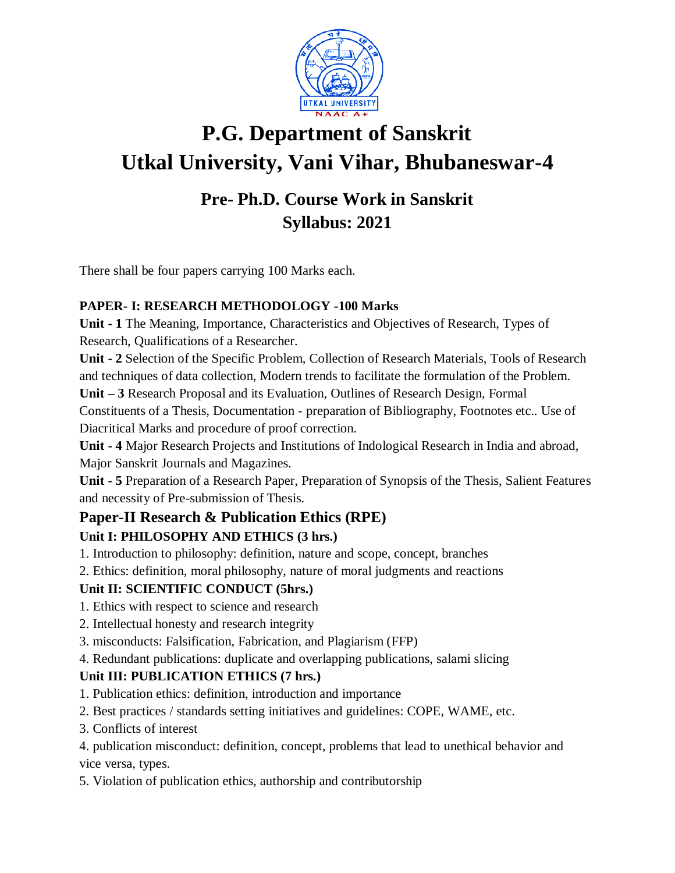

# **P.G. Department of Sanskrit Utkal University, Vani Vihar, Bhubaneswar-4**

### **Pre- Ph.D. Course Work in Sanskrit Syllabus: 2021**

There shall be four papers carrying 100 Marks each.

#### **PAPER- I: RESEARCH METHODOLOGY -100 Marks**

**Unit - 1** The Meaning, Importance, Characteristics and Objectives of Research, Types of Research, Qualifications of a Researcher.

**Unit - 2** Selection of the Specific Problem, Collection of Research Materials, Tools of Research and techniques of data collection, Modern trends to facilitate the formulation of the Problem.

**Unit – 3** Research Proposal and its Evaluation, Outlines of Research Design, Formal

Constituents of a Thesis, Documentation - preparation of Bibliography, Footnotes etc.. Use of Diacritical Marks and procedure of proof correction.

**Unit - 4** Major Research Projects and Institutions of Indological Research in India and abroad, Major Sanskrit Journals and Magazines.

**Unit - 5** Preparation of a Research Paper, Preparation of Synopsis of the Thesis, Salient Features and necessity of Pre-submission of Thesis.

## **Paper-II Research & Publication Ethics (RPE)**

#### **Unit I: PHILOSOPHY AND ETHICS (3 hrs.)**

1. Introduction to philosophy: definition, nature and scope, concept, branches

2. Ethics: definition, moral philosophy, nature of moral judgments and reactions

#### **Unit II: SCIENTIFIC CONDUCT (5hrs.)**

- 1. Ethics with respect to science and research
- 2. Intellectual honesty and research integrity
- 3. misconducts: Falsification, Fabrication, and Plagiarism (FFP)
- 4. Redundant publications: duplicate and overlapping publications, salami slicing

#### **Unit III: PUBLICATION ETHICS (7 hrs.)**

- 1. Publication ethics: definition, introduction and importance
- 2. Best practices / standards setting initiatives and guidelines: COPE, WAME, etc.
- 3. Conflicts of interest

4. publication misconduct: definition, concept, problems that lead to unethical behavior and vice versa, types.

5. Violation of publication ethics, authorship and contributorship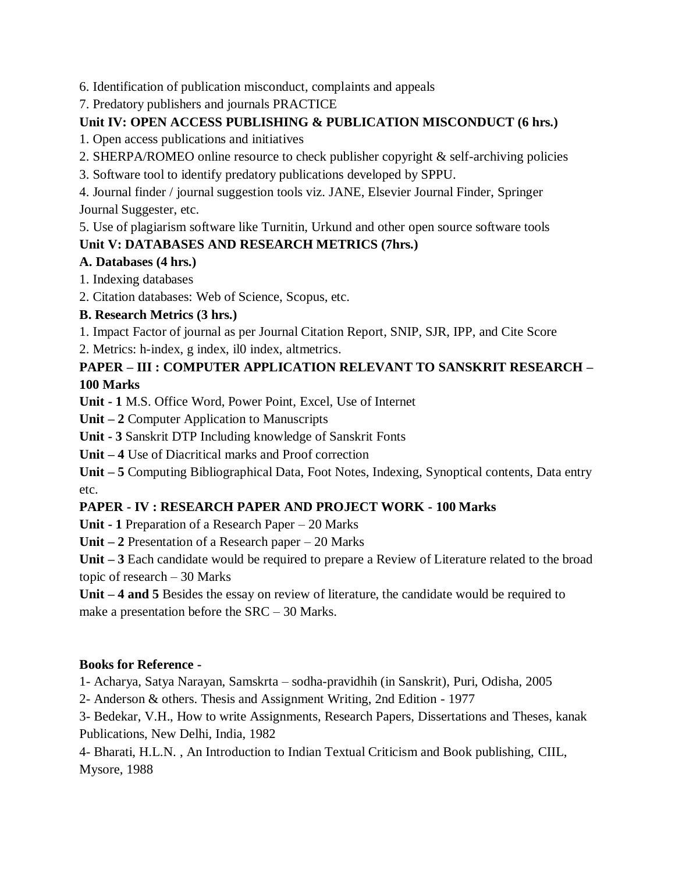6. Identification of publication misconduct, complaints and appeals

7. Predatory publishers and journals PRACTICE

#### **Unit IV: OPEN ACCESS PUBLISHING & PUBLICATION MISCONDUCT (6 hrs.)**

1. Open access publications and initiatives

- 2. SHERPA/ROMEO online resource to check publisher copyright & self-archiving policies
- 3. Software tool to identify predatory publications developed by SPPU.

4. Journal finder / journal suggestion tools viz. JANE, Elsevier Journal Finder, Springer Journal Suggester, etc.

5. Use of plagiarism software like Turnitin, Urkund and other open source software tools

#### **Unit V: DATABASES AND RESEARCH METRICS (7hrs.)**

#### **A. Databases (4 hrs.)**

1. Indexing databases

2. Citation databases: Web of Science, Scopus, etc.

#### **B. Research Metrics (3 hrs.)**

1. Impact Factor of journal as per Journal Citation Report, SNIP, SJR, IPP, and Cite Score

2. Metrics: h-index, g index, il0 index, altmetrics.

#### **PAPER – III : COMPUTER APPLICATION RELEVANT TO SANSKRIT RESEARCH – 100 Marks**

**Unit - 1** M.S. Office Word, Power Point, Excel, Use of Internet

**Unit – 2** Computer Application to Manuscripts

**Unit - 3** Sanskrit DTP Including knowledge of Sanskrit Fonts

**Unit – 4** Use of Diacritical marks and Proof correction

**Unit – 5** Computing Bibliographical Data, Foot Notes, Indexing, Synoptical contents, Data entry etc.

### **PAPER - IV : RESEARCH PAPER AND PROJECT WORK - 100 Marks**

**Unit - 1** Preparation of a Research Paper – 20 Marks

**Unit – 2** Presentation of a Research paper – 20 Marks

**Unit – 3** Each candidate would be required to prepare a Review of Literature related to the broad topic of research – 30 Marks

**Unit – 4 and 5** Besides the essay on review of literature, the candidate would be required to make a presentation before the SRC – 30 Marks.

#### **Books for Reference -**

1- Acharya, Satya Narayan, Samskrta – sodha-pravidhih (in Sanskrit), Puri, Odisha, 2005

2- Anderson & others. Thesis and Assignment Writing, 2nd Edition - 1977

3- Bedekar, V.H., How to write Assignments, Research Papers, Dissertations and Theses, kanak Publications, New Delhi, India, 1982

4- Bharati, H.L.N. , An Introduction to Indian Textual Criticism and Book publishing, CIIL, Mysore, 1988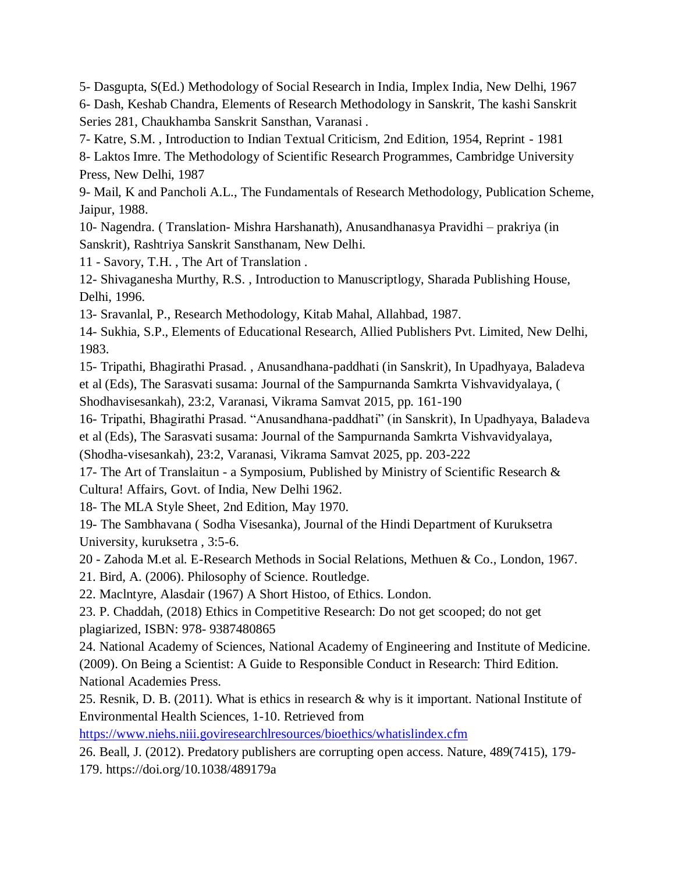5- Dasgupta, S(Ed.) Methodology of Social Research in India, Implex India, New Delhi, 1967 6- Dash, Keshab Chandra, Elements of Research Methodology in Sanskrit, The kashi Sanskrit Series 281, Chaukhamba Sanskrit Sansthan, Varanasi .

7- Katre, S.M. , Introduction to Indian Textual Criticism, 2nd Edition, 1954, Reprint - 1981

8- Laktos Imre. The Methodology of Scientific Research Programmes, Cambridge University Press, New Delhi, 1987

9- Mail, K and Pancholi A.L., The Fundamentals of Research Methodology, Publication Scheme, Jaipur, 1988.

10- Nagendra. ( Translation- Mishra Harshanath), Anusandhanasya Pravidhi – prakriya (in Sanskrit), Rashtriya Sanskrit Sansthanam, New Delhi.

11 - Savory, T.H. , The Art of Translation .

12- Shivaganesha Murthy, R.S. , Introduction to Manuscriptlogy, Sharada Publishing House, Delhi, 1996.

13- Sravanlal, P., Research Methodology, Kitab Mahal, Allahbad, 1987.

14- Sukhia, S.P., Elements of Educational Research, Allied Publishers Pvt. Limited, New Delhi, 1983.

15- Tripathi, Bhagirathi Prasad. , Anusandhana-paddhati (in Sanskrit), In Upadhyaya, Baladeva et al (Eds), The Sarasvati susama: Journal of the Sampurnanda Samkrta Vishvavidyalaya, ( Shodhavisesankah), 23:2, Varanasi, Vikrama Samvat 2015, pp. 161-190

16- Tripathi, Bhagirathi Prasad. "Anusandhana-paddhati" (in Sanskrit), In Upadhyaya, Baladeva et al (Eds), The Sarasvati susama: Journal of the Sampurnanda Samkrta Vishvavidyalaya,

(Shodha-visesankah), 23:2, Varanasi, Vikrama Samvat 2025, pp. 203-222

17- The Art of Translaitun - a Symposium, Published by Ministry of Scientific Research & Cultura! Affairs, Govt. of India, New Delhi 1962.

18- The MLA Style Sheet, 2nd Edition, May 1970.

19- The Sambhavana ( Sodha Visesanka), Journal of the Hindi Department of Kuruksetra University, kuruksetra , 3:5-6.

20 - Zahoda M.et al. E-Research Methods in Social Relations, Methuen & Co., London, 1967.

21. Bird, A. (2006). Philosophy of Science. Routledge.

22. Maclntyre, Alasdair (1967) A Short Histoo, of Ethics. London.

23. P. Chaddah, (2018) Ethics in Competitive Research: Do not get scooped; do not get plagiarized, ISBN: 978- 9387480865

24. National Academy of Sciences, National Academy of Engineering and Institute of Medicine. (2009). On Being a Scientist: A Guide to Responsible Conduct in Research: Third Edition. National Academies Press.

25. Resnik, D. B. (2011). What is ethics in research & why is it important. National Institute of Environmental Health Sciences, 1-10. Retrieved from

<https://www.niehs.niii.goviresearchlresources/bioethics/whatislindex.cfm>

26. Beall, J. (2012). Predatory publishers are corrupting open access. Nature, 489(7415), 179- 179. https://doi.org/10.1038/489179a